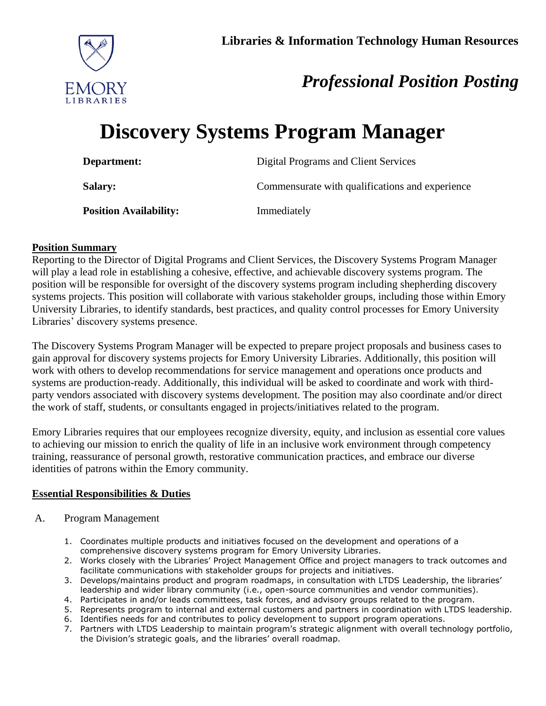

# *Professional Position Posting*

# **Discovery Systems Program Manager**

| Department:                   | Digital Programs and Client Services            |
|-------------------------------|-------------------------------------------------|
| <b>Salary:</b>                | Commensurate with qualifications and experience |
| <b>Position Availability:</b> | Immediately                                     |

# **Position Summary**

Reporting to the Director of Digital Programs and Client Services, the Discovery Systems Program Manager will play a lead role in establishing a cohesive, effective, and achievable discovery systems program. The position will be responsible for oversight of the discovery systems program including shepherding discovery systems projects. This position will collaborate with various stakeholder groups, including those within Emory University Libraries, to identify standards, best practices, and quality control processes for Emory University Libraries' discovery systems presence.

The Discovery Systems Program Manager will be expected to prepare project proposals and business cases to gain approval for discovery systems projects for Emory University Libraries. Additionally, this position will work with others to develop recommendations for service management and operations once products and systems are production-ready. Additionally, this individual will be asked to coordinate and work with thirdparty vendors associated with discovery systems development. The position may also coordinate and/or direct the work of staff, students, or consultants engaged in projects/initiatives related to the program.

Emory Libraries requires that our employees recognize diversity, equity, and inclusion as essential core values to achieving our mission to enrich the quality of life in an inclusive work environment through competency training, reassurance of personal growth, restorative communication practices, and embrace our diverse identities of patrons within the Emory community.

# **Essential Responsibilities & Duties**

- A. Program Management
	- 1. Coordinates multiple products and initiatives focused on the development and operations of a comprehensive discovery systems program for Emory University Libraries.
	- 2. Works closely with the Libraries' Project Management Office and project managers to track outcomes and facilitate communications with stakeholder groups for projects and initiatives.
	- 3. Develops/maintains product and program roadmaps, in consultation with LTDS Leadership, the libraries' leadership and wider library community (i.e., open-source communities and vendor communities).
	- 4. Participates in and/or leads committees, task forces, and advisory groups related to the program.
	- 5. Represents program to internal and external customers and partners in coordination with LTDS leadership.
	- 6. Identifies needs for and contributes to policy development to support program operations.
	- 7. Partners with LTDS Leadership to maintain program's strategic alignment with overall technology portfolio, the Division's strategic goals, and the libraries' overall roadmap.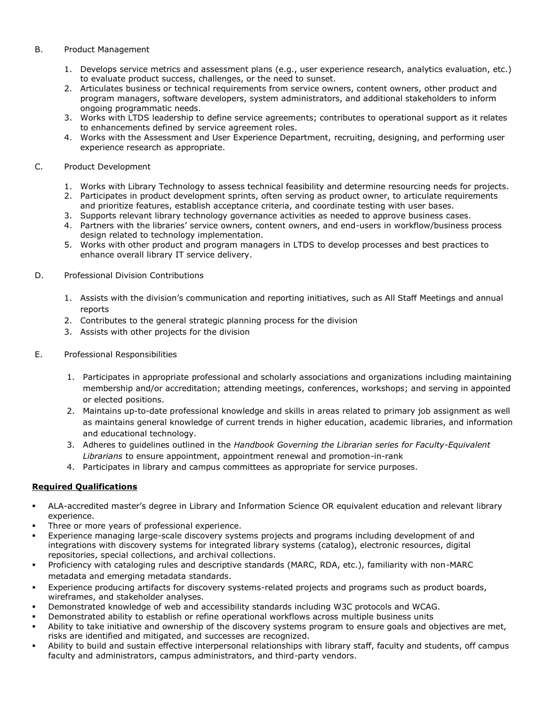#### B. Product Management

- 1. Develops service metrics and assessment plans (e.g., user experience research, analytics evaluation, etc.) to evaluate product success, challenges, or the need to sunset.
- 2. Articulates business or technical requirements from service owners, content owners, other product and program managers, software developers, system administrators, and additional stakeholders to inform ongoing programmatic needs.
- 3. Works with LTDS leadership to define service agreements; contributes to operational support as it relates to enhancements defined by service agreement roles.
- 4. Works with the Assessment and User Experience Department, recruiting, designing, and performing user experience research as appropriate.

## C. Product Development

- 1. Works with Library Technology to assess technical feasibility and determine resourcing needs for projects.
- 2. Participates in product development sprints, often serving as product owner, to articulate requirements and prioritize features, establish acceptance criteria, and coordinate testing with user bases.
- 3. Supports relevant library technology governance activities as needed to approve business cases.
- 4. Partners with the libraries' service owners, content owners, and end-users in workflow/business process design related to technology implementation.
- 5. Works with other product and program managers in LTDS to develop processes and best practices to enhance overall library IT service delivery.

### D. Professional Division Contributions

- 1. Assists with the division's communication and reporting initiatives, such as All Staff Meetings and annual reports
- 2. Contributes to the general strategic planning process for the division
- 3. Assists with other projects for the division
- E. Professional Responsibilities
	- 1. Participates in appropriate professional and scholarly associations and organizations including maintaining membership and/or accreditation; attending meetings, conferences, workshops; and serving in appointed or elected positions.
	- 2. Maintains up-to-date professional knowledge and skills in areas related to primary job assignment as well as maintains general knowledge of current trends in higher education, academic libraries, and information and educational technology.
	- 3. Adheres to guidelines outlined in the *Handbook Governing the Librarian series for Faculty-Equivalent Librarians* to ensure appointment, appointment renewal and promotion-in-rank
	- 4. Participates in library and campus committees as appropriate for service purposes.

# **Required Qualifications**

- ALA-accredited master's degree in Library and Information Science OR equivalent education and relevant library experience.
- Three or more years of professional experience.
- Experience managing large-scale discovery systems projects and programs including development of and integrations with discovery systems for integrated library systems (catalog), electronic resources, digital repositories, special collections, and archival collections.
- Proficiency with cataloging rules and descriptive standards (MARC, RDA, etc.), familiarity with non-MARC metadata and emerging metadata standards.
- Experience producing artifacts for discovery systems-related projects and programs such as product boards, wireframes, and stakeholder analyses.
- Demonstrated knowledge of web and accessibility standards including W3C protocols and WCAG.
- Demonstrated ability to establish or refine operational workflows across multiple business units
- Ability to take initiative and ownership of the discovery systems program to ensure goals and objectives are met, risks are identified and mitigated, and successes are recognized.
- . Ability to build and sustain effective interpersonal relationships with library staff, faculty and students, off campus faculty and administrators, campus administrators, and third-party vendors.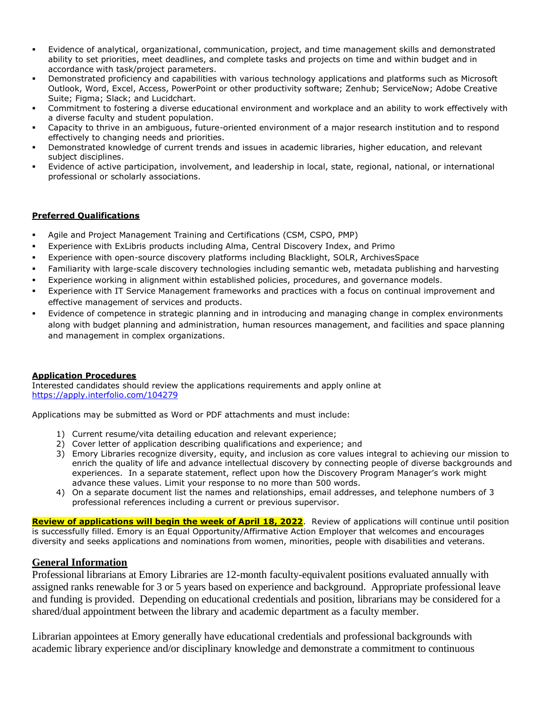- Evidence of analytical, organizational, communication, project, and time management skills and demonstrated ability to set priorities, meet deadlines, and complete tasks and projects on time and within budget and in accordance with task/project parameters.
- Demonstrated proficiency and capabilities with various technology applications and platforms such as Microsoft Outlook, Word, Excel, Access, PowerPoint or other productivity software; Zenhub; ServiceNow; Adobe Creative Suite; Figma; Slack; and Lucidchart.
- Commitment to fostering a diverse educational environment and workplace and an ability to work effectively with a diverse faculty and student population.
- Capacity to thrive in an ambiguous, future-oriented environment of a major research institution and to respond effectively to changing needs and priorities.
- Demonstrated knowledge of current trends and issues in academic libraries, higher education, and relevant subject disciplines.
- Evidence of active participation, involvement, and leadership in local, state, regional, national, or international professional or scholarly associations.

### **Preferred Qualifications**

- Agile and Project Management Training and Certifications (CSM, CSPO, PMP)
- Experience with ExLibris products including Alma, Central Discovery Index, and Primo
- Experience with open-source discovery platforms including Blacklight, SOLR, ArchivesSpace
- Familiarity with large-scale discovery technologies including semantic web, metadata publishing and harvesting
- Experience working in alignment within established policies, procedures, and governance models.
- Experience with IT Service Management frameworks and practices with a focus on continual improvement and effective management of services and products.
- Evidence of competence in strategic planning and in introducing and managing change in complex environments along with budget planning and administration, human resources management, and facilities and space planning and management in complex organizations.

#### **Application Procedures**

Interested candidates should review the applications requirements and apply online at <https://apply.interfolio.com/104279>

Applications may be submitted as Word or PDF attachments and must include:

- 1) Current resume/vita detailing education and relevant experience;
- 2) Cover letter of application describing qualifications and experience; and
- 3) Emory Libraries recognize diversity, equity, and inclusion as core values integral to achieving our mission to enrich the quality of life and advance intellectual discovery by connecting people of diverse backgrounds and experiences. In a separate statement, reflect upon how the Discovery Program Manager's work might advance these values. Limit your response to no more than 500 words.
- 4) On a separate document list the names and relationships, email addresses, and telephone numbers of 3 professional references including a current or previous supervisor.

**Review of applications will begin the week of April 18, 2022**. Review of applications will continue until position is successfully filled. Emory is an Equal Opportunity/Affirmative Action Employer that welcomes and encourages diversity and seeks applications and nominations from women, minorities, people with disabilities and veterans.

### **General Information**

Professional librarians at Emory Libraries are 12-month faculty-equivalent positions evaluated annually with assigned ranks renewable for 3 or 5 years based on experience and background. Appropriate professional leave and funding is provided. Depending on educational credentials and position, librarians may be considered for a shared/dual appointment between the library and academic department as a faculty member.

Librarian appointees at Emory generally have educational credentials and professional backgrounds with academic library experience and/or disciplinary knowledge and demonstrate a commitment to continuous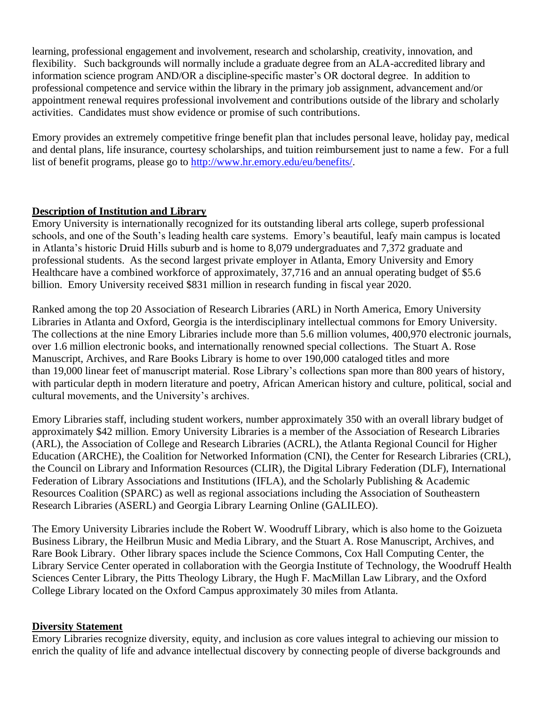learning, professional engagement and involvement, research and scholarship, creativity, innovation, and flexibility. Such backgrounds will normally include a graduate degree from an ALA-accredited library and information science program AND/OR a discipline-specific master's OR doctoral degree. In addition to professional competence and service within the library in the primary job assignment, advancement and/or appointment renewal requires professional involvement and contributions outside of the library and scholarly activities. Candidates must show evidence or promise of such contributions.

Emory provides an extremely competitive fringe benefit plan that includes personal leave, holiday pay, medical and dental plans, life insurance, courtesy scholarships, and tuition reimbursement just to name a few. For a full list of benefit programs, please go to [http://www.hr.emory.edu/eu/benefits/.](http://www.hr.emory.edu/eu/benefits/)

# **Description of Institution and Library**

Emory University is internationally recognized for its outstanding liberal arts college, superb professional schools, and one of the South's leading health care systems. Emory's beautiful, leafy main campus is located in Atlanta's historic Druid Hills suburb and is home to 8,079 undergraduates and 7,372 graduate and professional students. As the second largest private employer in Atlanta, Emory University and Emory Healthcare have a combined workforce of approximately, 37,716 and an annual operating budget of \$5.6 billion. Emory University received \$831 million in research funding in fiscal year 2020.

Ranked among the top 20 Association of Research Libraries (ARL) in North America, Emory University Libraries in Atlanta and Oxford, Georgia is the interdisciplinary intellectual commons for Emory University. The collections at the nine Emory Libraries include more than 5.6 million volumes, 400,970 electronic journals, over 1.6 million electronic books, and internationally renowned special collections. The Stuart A. Rose Manuscript, Archives, and Rare Books Library is home to over 190,000 cataloged titles and more than 19,000 linear feet of manuscript material. Rose Library's collections span more than 800 years of history, with particular depth in modern literature and poetry, African American history and culture, political, social and cultural movements, and the University's archives.

Emory Libraries staff, including student workers, number approximately 350 with an overall library budget of approximately \$42 million. Emory University Libraries is a member of the Association of Research Libraries (ARL), the Association of College and Research Libraries (ACRL), the Atlanta Regional Council for Higher Education (ARCHE), the Coalition for Networked Information (CNI), the Center for Research Libraries (CRL), the Council on Library and Information Resources (CLIR), the Digital Library Federation (DLF), International Federation of Library Associations and Institutions (IFLA), and the Scholarly Publishing & Academic Resources Coalition (SPARC) as well as regional associations including the Association of Southeastern Research Libraries (ASERL) and Georgia Library Learning Online (GALILEO).

The Emory University Libraries include the Robert W. Woodruff Library, which is also home to the Goizueta Business Library, the Heilbrun Music and Media Library, and the Stuart A. Rose Manuscript, Archives, and Rare Book Library. Other library spaces include the Science Commons, Cox Hall Computing Center, the Library Service Center operated in collaboration with the Georgia Institute of Technology, the Woodruff Health Sciences Center Library, the Pitts Theology Library, the Hugh F. MacMillan Law Library, and the Oxford College Library located on the Oxford Campus approximately 30 miles from Atlanta.

# **Diversity Statement**

Emory Libraries recognize diversity, equity, and inclusion as core values integral to achieving our mission to enrich the quality of life and advance intellectual discovery by connecting people of diverse backgrounds and